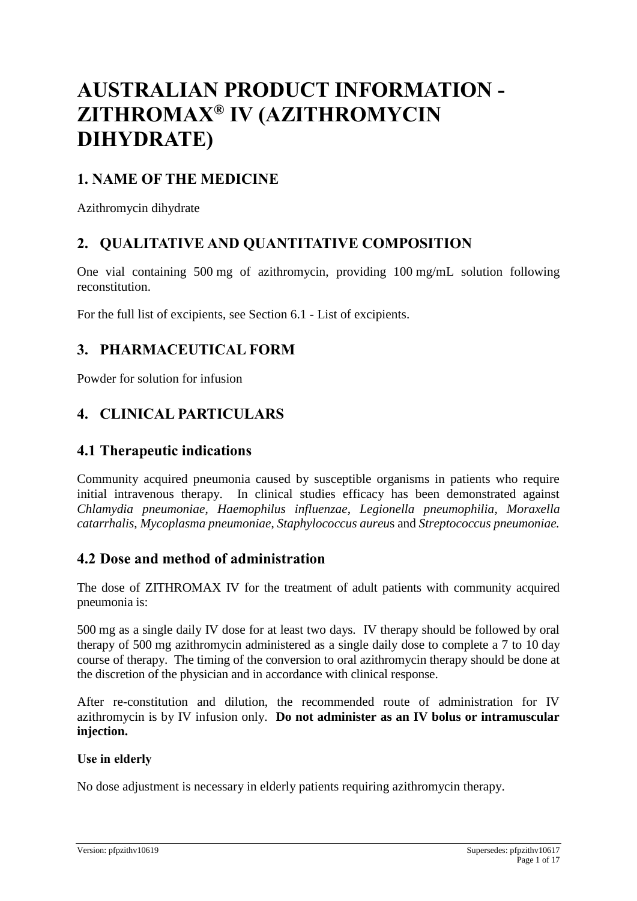# **AUSTRALIAN PRODUCT INFORMATION - ZITHROMAX® IV (AZITHROMYCIN DIHYDRATE)**

### **1. NAME OF THE MEDICINE**

Azithromycin dihydrate

## **2. QUALITATIVE AND QUANTITATIVE COMPOSITION**

One vial containing 500 mg of azithromycin, providing 100 mg/mL solution following reconstitution.

For the full list of excipients, see Section 6.1 - List of excipients.

### **3. PHARMACEUTICAL FORM**

Powder for solution for infusion

### **4. CLINICAL PARTICULARS**

### **4.1 Therapeutic indications**

Community acquired pneumonia caused by susceptible organisms in patients who require initial intravenous therapy. In clinical studies efficacy has been demonstrated against *Chlamydia pneumoniae*, *Haemophilus influenzae*, *Legionella pneumophilia*, *Moraxella catarrhalis*, *Mycoplasma pneumoniae*, *Staphylococcus aureu*s and *Streptococcus pneumoniae.*

### **4.2 Dose and method of administration**

The dose of ZITHROMAX IV for the treatment of adult patients with community acquired pneumonia is:

500 mg as a single daily IV dose for at least two days. IV therapy should be followed by oral therapy of 500 mg azithromycin administered as a single daily dose to complete a 7 to 10 day course of therapy. The timing of the conversion to oral azithromycin therapy should be done at the discretion of the physician and in accordance with clinical response.

After re-constitution and dilution, the recommended route of administration for IV azithromycin is by IV infusion only. **Do not administer as an IV bolus or intramuscular injection.**

#### **Use in elderly**

No dose adjustment is necessary in elderly patients requiring azithromycin therapy.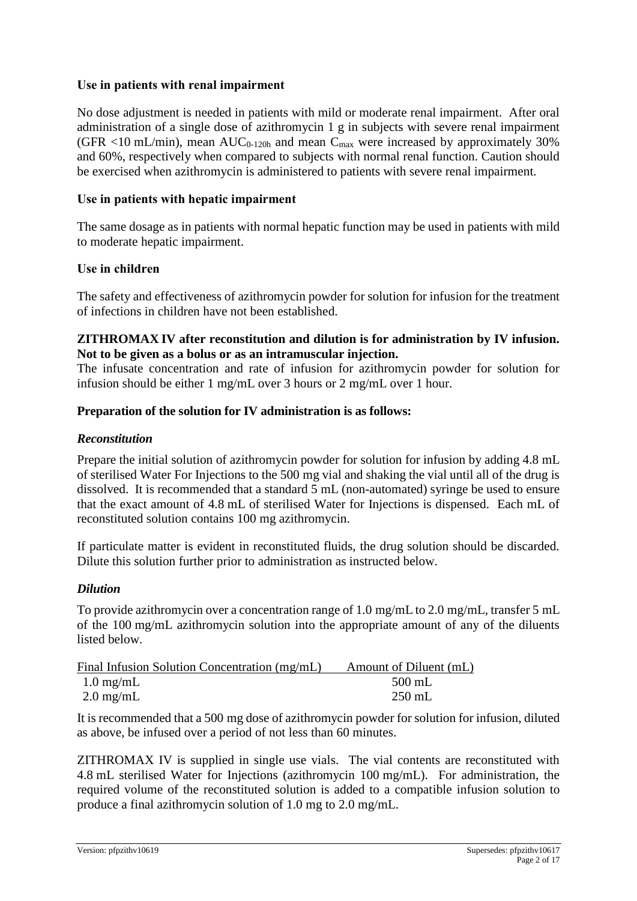#### **Use in patients with renal impairment**

No dose adjustment is needed in patients with mild or moderate renal impairment. After oral administration of a single dose of azithromycin 1 g in subjects with severe renal impairment (GFR  $\langle$ 10 mL/min), mean AUC<sub>0-120h</sub> and mean C<sub>max</sub> were increased by approximately 30% and 60%, respectively when compared to subjects with normal renal function. Caution should be exercised when azithromycin is administered to patients with severe renal impairment.

#### **Use in patients with hepatic impairment**

The same dosage as in patients with normal hepatic function may be used in patients with mild to moderate hepatic impairment.

#### **Use in children**

The safety and effectiveness of azithromycin powder for solution for infusion for the treatment of infections in children have not been established.

#### **ZITHROMAX IV after reconstitution and dilution is for administration by IV infusion. Not to be given as a bolus or as an intramuscular injection.**

The infusate concentration and rate of infusion for azithromycin powder for solution for infusion should be either 1 mg/mL over 3 hours or 2 mg/mL over 1 hour.

#### **Preparation of the solution for IV administration is as follows:**

#### *Reconstitution*

Prepare the initial solution of azithromycin powder for solution for infusion by adding 4.8 mL of sterilised Water For Injections to the 500 mg vial and shaking the vial until all of the drug is dissolved. It is recommended that a standard 5 mL (non-automated) syringe be used to ensure that the exact amount of 4.8 mL of sterilised Water for Injections is dispensed. Each mL of reconstituted solution contains 100 mg azithromycin.

If particulate matter is evident in reconstituted fluids, the drug solution should be discarded. Dilute this solution further prior to administration as instructed below.

#### *Dilution*

To provide azithromycin over a concentration range of 1.0 mg/mL to 2.0 mg/mL, transfer 5 mL of the 100 mg/mL azithromycin solution into the appropriate amount of any of the diluents listed below.

| Amount of Diluent (mL) |
|------------------------|
| $500$ mL               |
| $250$ mL               |
|                        |

It is recommended that a 500 mg dose of azithromycin powder for solution for infusion, diluted as above, be infused over a period of not less than 60 minutes.

ZITHROMAX IV is supplied in single use vials. The vial contents are reconstituted with 4.8 mL sterilised Water for Injections (azithromycin 100 mg/mL). For administration, the required volume of the reconstituted solution is added to a compatible infusion solution to produce a final azithromycin solution of 1.0 mg to 2.0 mg/mL.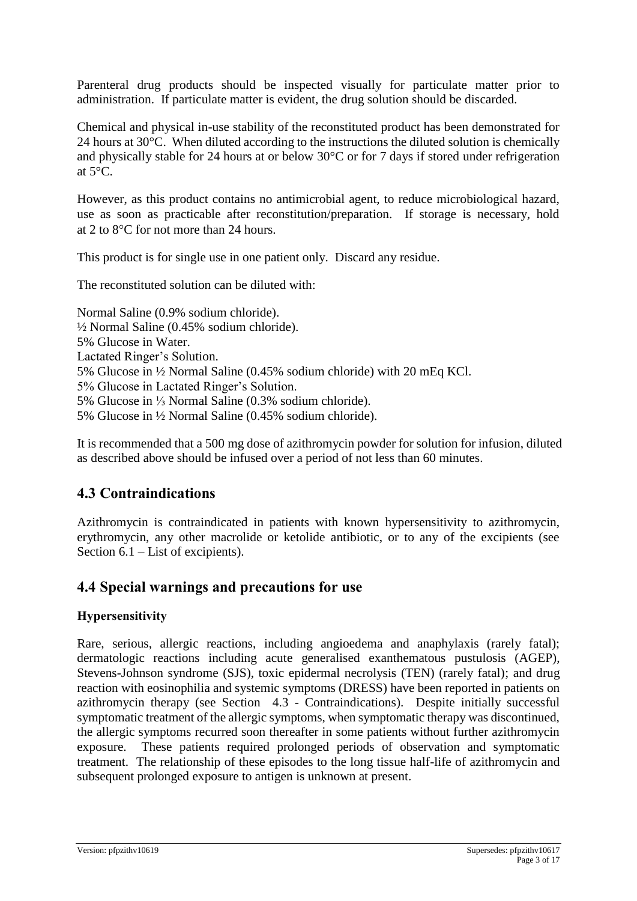Parenteral drug products should be inspected visually for particulate matter prior to administration. If particulate matter is evident, the drug solution should be discarded.

Chemical and physical in-use stability of the reconstituted product has been demonstrated for 24 hours at 30°C. When diluted according to the instructions the diluted solution is chemically and physically stable for 24 hours at or below 30°C or for 7 days if stored under refrigeration at  $5^{\circ}$ C.

However, as this product contains no antimicrobial agent, to reduce microbiological hazard, use as soon as practicable after reconstitution/preparation. If storage is necessary, hold at 2 to  $8^{\circ}$ C for not more than 24 hours.

This product is for single use in one patient only. Discard any residue.

The reconstituted solution can be diluted with:

Normal Saline (0.9% sodium chloride). ½ Normal Saline (0.45% sodium chloride). 5% Glucose in Water. Lactated Ringer's Solution. 5% Glucose in ½ Normal Saline (0.45% sodium chloride) with 20 mEq KCl. 5% Glucose in Lactated Ringer's Solution. 5% Glucose in ⅓ Normal Saline (0.3% sodium chloride). 5% Glucose in ½ Normal Saline (0.45% sodium chloride).

It is recommended that a 500 mg dose of azithromycin powder for solution for infusion, diluted as described above should be infused over a period of not less than 60 minutes.

### **4.3 Contraindications**

Azithromycin is contraindicated in patients with known hypersensitivity to azithromycin, erythromycin, any other macrolide or ketolide antibiotic, or to any of the excipients (see Section 6.1 – List of excipients).

### **4.4 Special warnings and precautions for use**

#### **Hypersensitivity**

Rare, serious, allergic reactions, including angioedema and anaphylaxis (rarely fatal); dermatologic reactions including acute generalised exanthematous pustulosis (AGEP), Stevens-Johnson syndrome (SJS), toxic epidermal necrolysis (TEN) (rarely fatal); and drug reaction with eosinophilia and systemic symptoms (DRESS) have been reported in patients on azithromycin therapy (see Section 4.3 - Contraindications). Despite initially successful symptomatic treatment of the allergic symptoms, when symptomatic therapy was discontinued, the allergic symptoms recurred soon thereafter in some patients without further azithromycin exposure. These patients required prolonged periods of observation and symptomatic treatment. The relationship of these episodes to the long tissue half-life of azithromycin and subsequent prolonged exposure to antigen is unknown at present.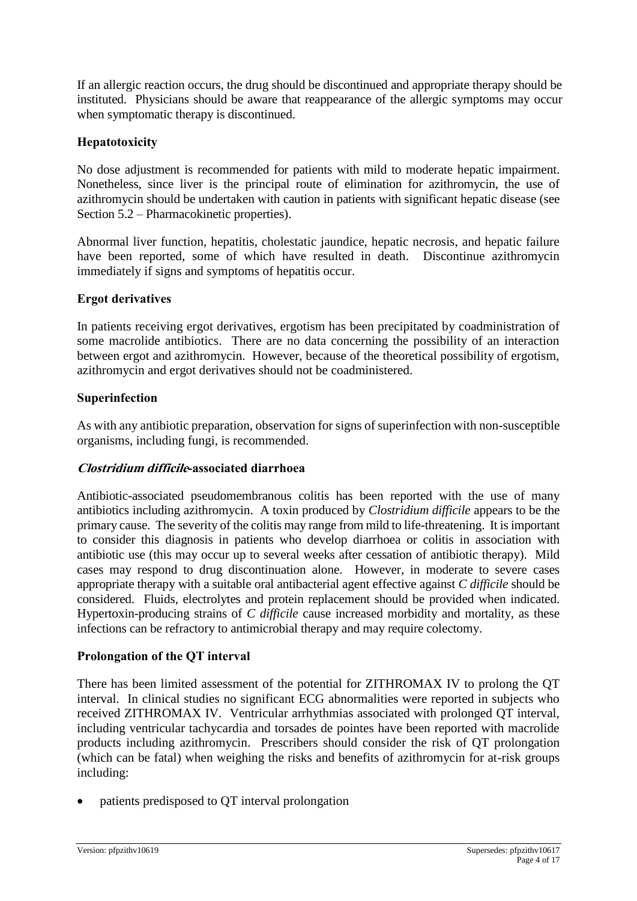If an allergic reaction occurs, the drug should be discontinued and appropriate therapy should be instituted. Physicians should be aware that reappearance of the allergic symptoms may occur when symptomatic therapy is discontinued.

#### **Hepatotoxicity**

No dose adjustment is recommended for patients with mild to moderate hepatic impairment. Nonetheless, since liver is the principal route of elimination for azithromycin, the use of azithromycin should be undertaken with caution in patients with significant hepatic disease (see Section 5.2 – Pharmacokinetic properties).

Abnormal liver function, hepatitis, cholestatic jaundice, hepatic necrosis, and hepatic failure have been reported, some of which have resulted in death. Discontinue azithromycin immediately if signs and symptoms of hepatitis occur.

#### **Ergot derivatives**

In patients receiving ergot derivatives, ergotism has been precipitated by coadministration of some macrolide antibiotics. There are no data concerning the possibility of an interaction between ergot and azithromycin. However, because of the theoretical possibility of ergotism, azithromycin and ergot derivatives should not be coadministered.

#### **Superinfection**

As with any antibiotic preparation, observation for signs of superinfection with non-susceptible organisms, including fungi, is recommended.

#### **Clostridium difficile-associated diarrhoea**

Antibiotic-associated pseudomembranous colitis has been reported with the use of many antibiotics including azithromycin. A toxin produced by *Clostridium difficile* appears to be the primary cause. The severity of the colitis may range from mild to life-threatening. It is important to consider this diagnosis in patients who develop diarrhoea or colitis in association with antibiotic use (this may occur up to several weeks after cessation of antibiotic therapy). Mild cases may respond to drug discontinuation alone. However, in moderate to severe cases appropriate therapy with a suitable oral antibacterial agent effective against *C difficile* should be considered. Fluids, electrolytes and protein replacement should be provided when indicated. Hypertoxin-producing strains of *C difficile* cause increased morbidity and mortality, as these infections can be refractory to antimicrobial therapy and may require colectomy.

#### **Prolongation of the QT interval**

There has been limited assessment of the potential for ZITHROMAX IV to prolong the QT interval. In clinical studies no significant ECG abnormalities were reported in subjects who received ZITHROMAX IV. Ventricular arrhythmias associated with prolonged QT interval, including ventricular tachycardia and torsades de pointes have been reported with macrolide products including azithromycin. Prescribers should consider the risk of QT prolongation (which can be fatal) when weighing the risks and benefits of azithromycin for at-risk groups including:

• patients predisposed to QT interval prolongation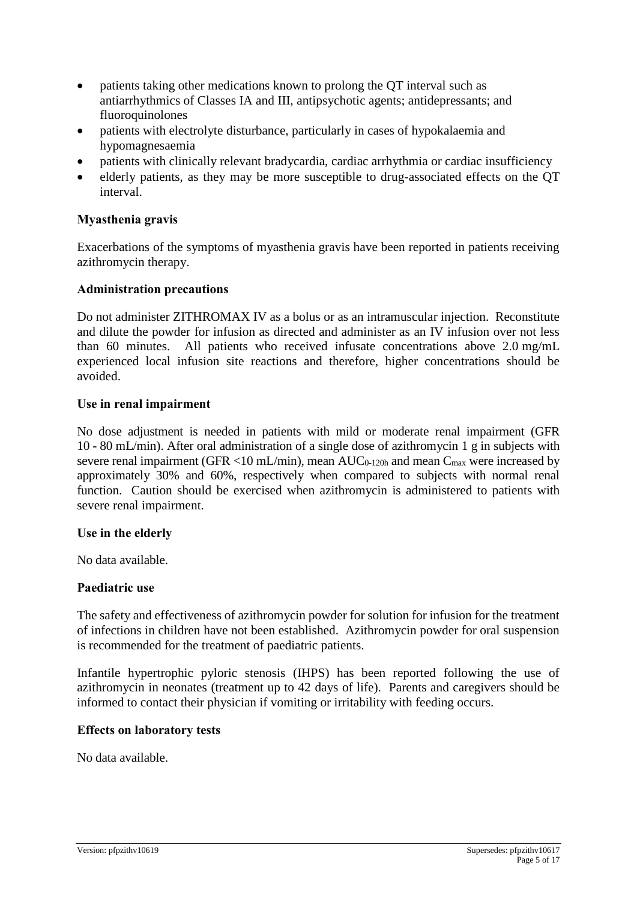- patients taking other medications known to prolong the QT interval such as antiarrhythmics of Classes IA and III, antipsychotic agents; antidepressants; and fluoroquinolones
- patients with electrolyte disturbance, particularly in cases of hypokalaemia and hypomagnesaemia
- patients with clinically relevant bradycardia, cardiac arrhythmia or cardiac insufficiency
- elderly patients, as they may be more susceptible to drug-associated effects on the QT interval.

#### **Myasthenia gravis**

Exacerbations of the symptoms of myasthenia gravis have been reported in patients receiving azithromycin therapy.

#### **Administration precautions**

Do not administer ZITHROMAX IV as a bolus or as an intramuscular injection. Reconstitute and dilute the powder for infusion as directed and administer as an IV infusion over not less than 60 minutes. All patients who received infusate concentrations above 2.0 mg/mL experienced local infusion site reactions and therefore, higher concentrations should be avoided.

#### **Use in renal impairment**

No dose adjustment is needed in patients with mild or moderate renal impairment (GFR 10 - 80 mL/min). After oral administration of a single dose of azithromycin 1 g in subjects with severe renal impairment (GFR <10 mL/min), mean  $AUC_{0-120h}$  and mean  $C_{max}$  were increased by approximately 30% and 60%, respectively when compared to subjects with normal renal function. Caution should be exercised when azithromycin is administered to patients with severe renal impairment.

#### **Use in the elderly**

No data available.

#### **Paediatric use**

The safety and effectiveness of azithromycin powder for solution for infusion for the treatment of infections in children have not been established. Azithromycin powder for oral suspension is recommended for the treatment of paediatric patients.

Infantile hypertrophic pyloric stenosis (IHPS) has been reported following the use of azithromycin in neonates (treatment up to 42 days of life). Parents and caregivers should be informed to contact their physician if vomiting or irritability with feeding occurs.

#### **Effects on laboratory tests**

No data available.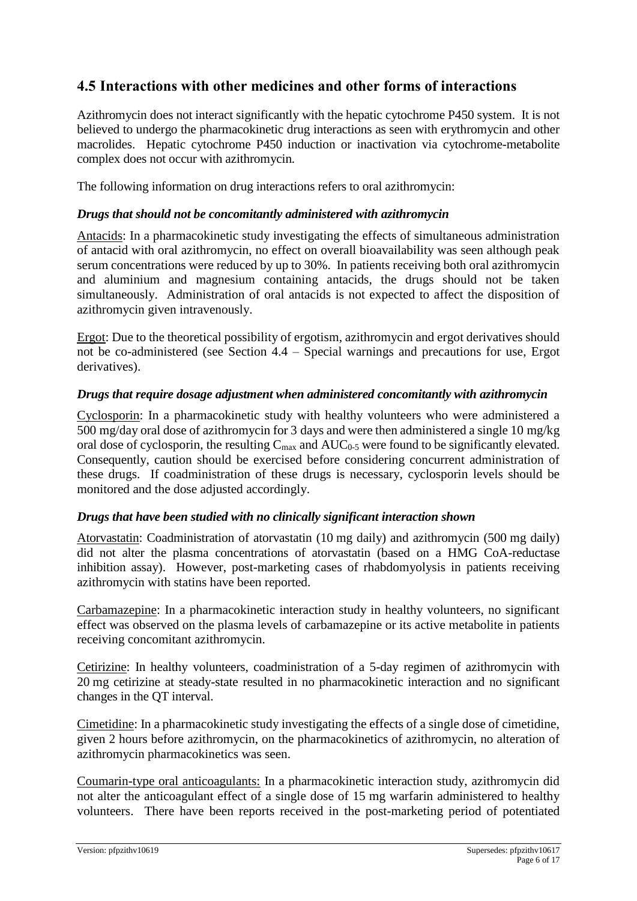### **4.5 Interactions with other medicines and other forms of interactions**

Azithromycin does not interact significantly with the hepatic cytochrome P450 system. It is not believed to undergo the pharmacokinetic drug interactions as seen with erythromycin and other macrolides. Hepatic cytochrome P450 induction or inactivation via cytochrome-metabolite complex does not occur with azithromycin.

The following information on drug interactions refers to oral azithromycin:

#### *Drugs that should not be concomitantly administered with azithromycin*

Antacids: In a pharmacokinetic study investigating the effects of simultaneous administration of antacid with oral azithromycin, no effect on overall bioavailability was seen although peak serum concentrations were reduced by up to 30%. In patients receiving both oral azithromycin and aluminium and magnesium containing antacids, the drugs should not be taken simultaneously. Administration of oral antacids is not expected to affect the disposition of azithromycin given intravenously.

Ergot: Due to the theoretical possibility of ergotism, azithromycin and ergot derivatives should not be co-administered (see Section 4.4 – Special warnings and precautions for use, Ergot derivatives).

#### *Drugs that require dosage adjustment when administered concomitantly with azithromycin*

Cyclosporin: In a pharmacokinetic study with healthy volunteers who were administered a 500 mg/day oral dose of azithromycin for 3 days and were then administered a single 10 mg/kg oral dose of cyclosporin, the resulting  $C_{\text{max}}$  and  $AUC_{0.5}$  were found to be significantly elevated. Consequently, caution should be exercised before considering concurrent administration of these drugs. If coadministration of these drugs is necessary, cyclosporin levels should be monitored and the dose adjusted accordingly.

#### *Drugs that have been studied with no clinically significant interaction shown*

Atorvastatin: Coadministration of atorvastatin (10 mg daily) and azithromycin (500 mg daily) did not alter the plasma concentrations of atorvastatin (based on a HMG CoA-reductase inhibition assay). However, post-marketing cases of rhabdomyolysis in patients receiving azithromycin with statins have been reported.

Carbamazepine: In a pharmacokinetic interaction study in healthy volunteers, no significant effect was observed on the plasma levels of carbamazepine or its active metabolite in patients receiving concomitant azithromycin.

Cetirizine: In healthy volunteers, coadministration of a 5-day regimen of azithromycin with 20 mg cetirizine at steady-state resulted in no pharmacokinetic interaction and no significant changes in the QT interval.

Cimetidine: In a pharmacokinetic study investigating the effects of a single dose of cimetidine, given 2 hours before azithromycin, on the pharmacokinetics of azithromycin, no alteration of azithromycin pharmacokinetics was seen.

Coumarin-type oral anticoagulants: In a pharmacokinetic interaction study, azithromycin did not alter the anticoagulant effect of a single dose of 15 mg warfarin administered to healthy volunteers. There have been reports received in the post-marketing period of potentiated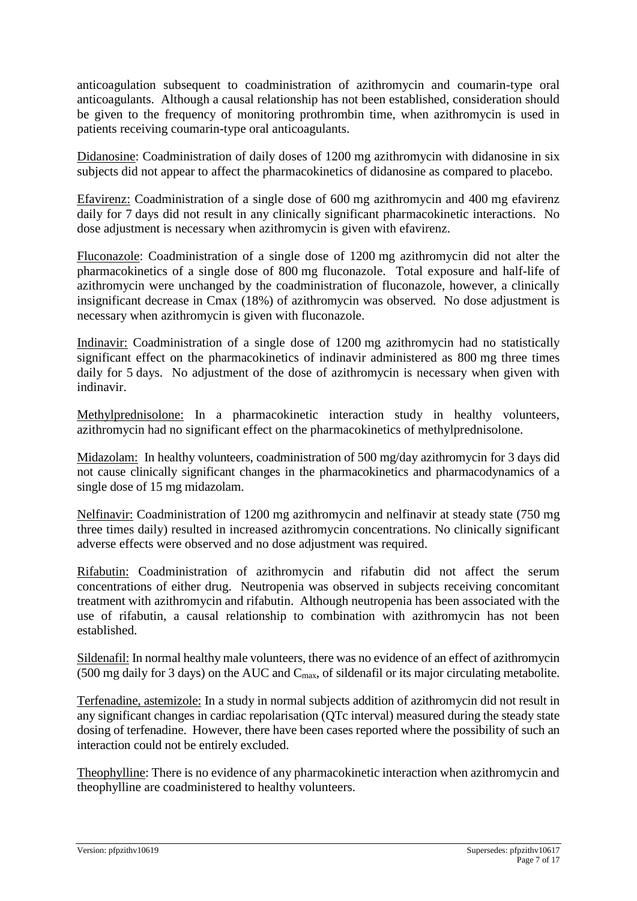anticoagulation subsequent to coadministration of azithromycin and coumarin-type oral anticoagulants. Although a causal relationship has not been established, consideration should be given to the frequency of monitoring prothrombin time, when azithromycin is used in patients receiving coumarin-type oral anticoagulants.

Didanosine: Coadministration of daily doses of 1200 mg azithromycin with didanosine in six subjects did not appear to affect the pharmacokinetics of didanosine as compared to placebo.

Efavirenz: Coadministration of a single dose of 600 mg azithromycin and 400 mg efavirenz daily for 7 days did not result in any clinically significant pharmacokinetic interactions. No dose adjustment is necessary when azithromycin is given with efavirenz.

Fluconazole: Coadministration of a single dose of 1200 mg azithromycin did not alter the pharmacokinetics of a single dose of 800 mg fluconazole. Total exposure and half-life of azithromycin were unchanged by the coadministration of fluconazole, however, a clinically insignificant decrease in Cmax (18%) of azithromycin was observed. No dose adjustment is necessary when azithromycin is given with fluconazole.

Indinavir: Coadministration of a single dose of 1200 mg azithromycin had no statistically significant effect on the pharmacokinetics of indinavir administered as 800 mg three times daily for 5 days. No adjustment of the dose of azithromycin is necessary when given with indinavir.

Methylprednisolone: In a pharmacokinetic interaction study in healthy volunteers, azithromycin had no significant effect on the pharmacokinetics of methylprednisolone.

Midazolam: In healthy volunteers, coadministration of 500 mg/day azithromycin for 3 days did not cause clinically significant changes in the pharmacokinetics and pharmacodynamics of a single dose of 15 mg midazolam.

Nelfinavir: Coadministration of 1200 mg azithromycin and nelfinavir at steady state (750 mg three times daily) resulted in increased azithromycin concentrations. No clinically significant adverse effects were observed and no dose adjustment was required.

Rifabutin: Coadministration of azithromycin and rifabutin did not affect the serum concentrations of either drug. Neutropenia was observed in subjects receiving concomitant treatment with azithromycin and rifabutin. Although neutropenia has been associated with the use of rifabutin, a causal relationship to combination with azithromycin has not been established.

Sildenafil: In normal healthy male volunteers, there was no evidence of an effect of azithromycin (500 mg daily for 3 days) on the AUC and  $C_{\text{max}}$ , of sildenafil or its major circulating metabolite.

Terfenadine, astemizole: In a study in normal subjects addition of azithromycin did not result in any significant changes in cardiac repolarisation (QTc interval) measured during the steady state dosing of terfenadine. However, there have been cases reported where the possibility of such an interaction could not be entirely excluded.

Theophylline: There is no evidence of any pharmacokinetic interaction when azithromycin and theophylline are coadministered to healthy volunteers.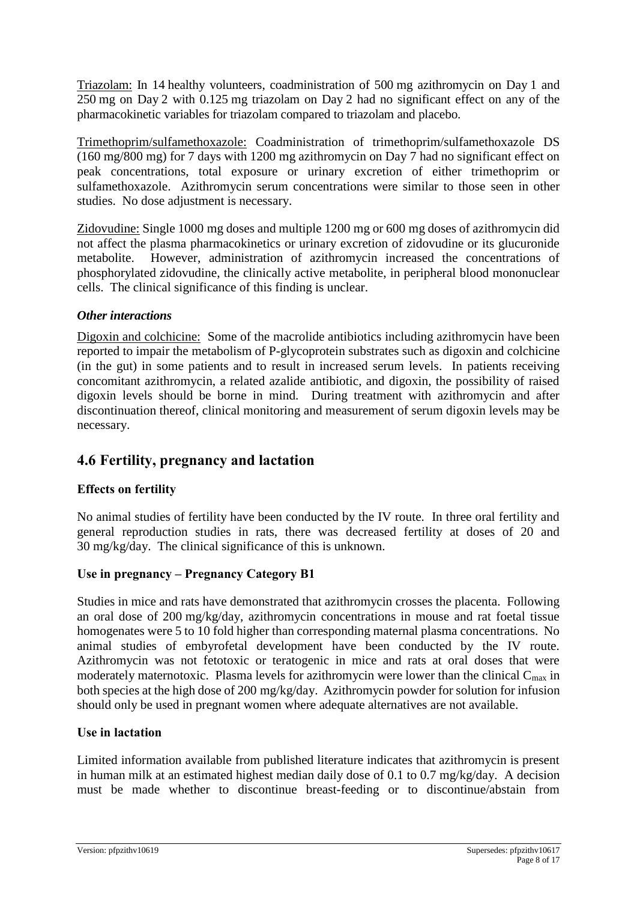Triazolam: In 14 healthy volunteers, coadministration of 500 mg azithromycin on Day 1 and 250 mg on Day 2 with 0.125 mg triazolam on Day 2 had no significant effect on any of the pharmacokinetic variables for triazolam compared to triazolam and placebo.

Trimethoprim/sulfamethoxazole: Coadministration of trimethoprim/sulfamethoxazole DS (160 mg/800 mg) for 7 days with 1200 mg azithromycin on Day 7 had no significant effect on peak concentrations, total exposure or urinary excretion of either trimethoprim or sulfamethoxazole. Azithromycin serum concentrations were similar to those seen in other studies. No dose adjustment is necessary.

Zidovudine: Single 1000 mg doses and multiple 1200 mg or 600 mg doses of azithromycin did not affect the plasma pharmacokinetics or urinary excretion of zidovudine or its glucuronide metabolite. However, administration of azithromycin increased the concentrations of phosphorylated zidovudine, the clinically active metabolite, in peripheral blood mononuclear cells. The clinical significance of this finding is unclear.

#### *Other interactions*

Digoxin and colchicine: Some of the macrolide antibiotics including azithromycin have been reported to impair the metabolism of P-glycoprotein substrates such as digoxin and colchicine (in the gut) in some patients and to result in increased serum levels. In patients receiving concomitant azithromycin, a related azalide antibiotic, and digoxin, the possibility of raised digoxin levels should be borne in mind. During treatment with azithromycin and after discontinuation thereof, clinical monitoring and measurement of serum digoxin levels may be necessary.

### **4.6 Fertility, pregnancy and lactation**

#### **Effects on fertility**

No animal studies of fertility have been conducted by the IV route. In three oral fertility and general reproduction studies in rats, there was decreased fertility at doses of 20 and 30 mg/kg/day. The clinical significance of this is unknown.

#### **Use in pregnancy – Pregnancy Category B1**

Studies in mice and rats have demonstrated that azithromycin crosses the placenta. Following an oral dose of 200 mg/kg/day, azithromycin concentrations in mouse and rat foetal tissue homogenates were 5 to 10 fold higher than corresponding maternal plasma concentrations. No animal studies of embyrofetal development have been conducted by the IV route. Azithromycin was not fetotoxic or teratogenic in mice and rats at oral doses that were moderately maternotoxic. Plasma levels for azithromycin were lower than the clinical  $C_{\text{max}}$  in both species at the high dose of 200 mg/kg/day. Azithromycin powder for solution for infusion should only be used in pregnant women where adequate alternatives are not available.

#### **Use in lactation**

Limited information available from published literature indicates that azithromycin is present in human milk at an estimated highest median daily dose of 0.1 to 0.7 mg/kg/day. A decision must be made whether to discontinue breast-feeding or to discontinue/abstain from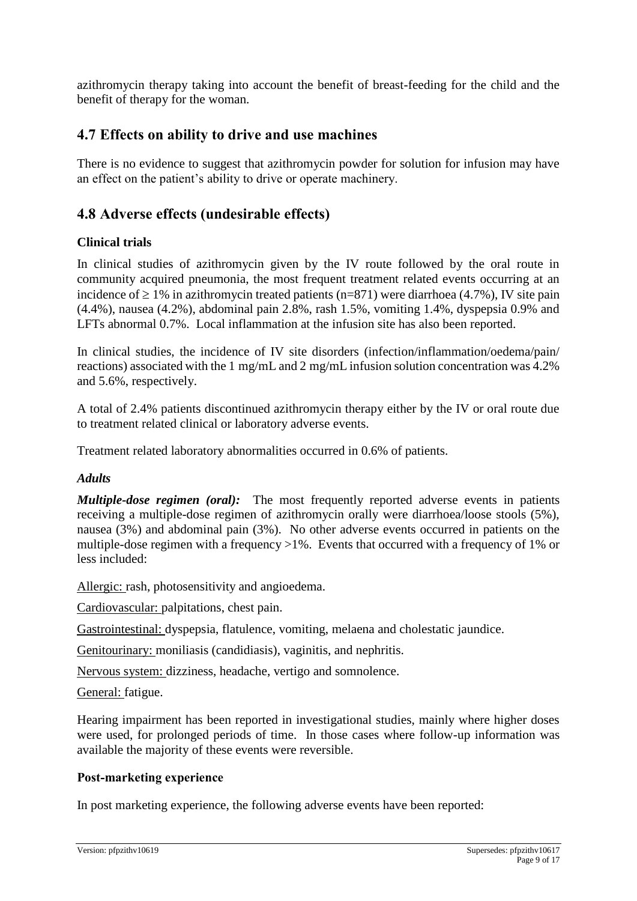azithromycin therapy taking into account the benefit of breast-feeding for the child and the benefit of therapy for the woman.

### **4.7 Effects on ability to drive and use machines**

There is no evidence to suggest that azithromycin powder for solution for infusion may have an effect on the patient's ability to drive or operate machinery.

### **4.8 Adverse effects (undesirable effects)**

#### **Clinical trials**

In clinical studies of azithromycin given by the IV route followed by the oral route in community acquired pneumonia, the most frequent treatment related events occurring at an incidence of  $\geq 1\%$  in azithromycin treated patients (n=871) were diarrhoea (4.7%), IV site pain (4.4%), nausea (4.2%), abdominal pain 2.8%, rash 1.5%, vomiting 1.4%, dyspepsia 0.9% and LFTs abnormal 0.7%. Local inflammation at the infusion site has also been reported.

In clinical studies, the incidence of IV site disorders (infection/inflammation/oedema/pain/ reactions) associated with the 1 mg/mL and 2 mg/mL infusion solution concentration was 4.2% and 5.6%, respectively.

A total of 2.4% patients discontinued azithromycin therapy either by the IV or oral route due to treatment related clinical or laboratory adverse events.

Treatment related laboratory abnormalities occurred in 0.6% of patients.

#### *Adults*

*Multiple-dose regimen (oral):* The most frequently reported adverse events in patients receiving a multiple-dose regimen of azithromycin orally were diarrhoea/loose stools (5%), nausea (3%) and abdominal pain (3%). No other adverse events occurred in patients on the multiple-dose regimen with a frequency >1%. Events that occurred with a frequency of 1% or less included:

Allergic: rash, photosensitivity and angioedema.

Cardiovascular: palpitations, chest pain.

Gastrointestinal: dyspepsia, flatulence, vomiting, melaena and cholestatic jaundice.

Genitourinary: moniliasis (candidiasis), vaginitis, and nephritis.

Nervous system: dizziness, headache, vertigo and somnolence.

General: fatigue.

Hearing impairment has been reported in investigational studies, mainly where higher doses were used, for prolonged periods of time. In those cases where follow-up information was available the majority of these events were reversible.

#### **Post-marketing experience**

In post marketing experience, the following adverse events have been reported: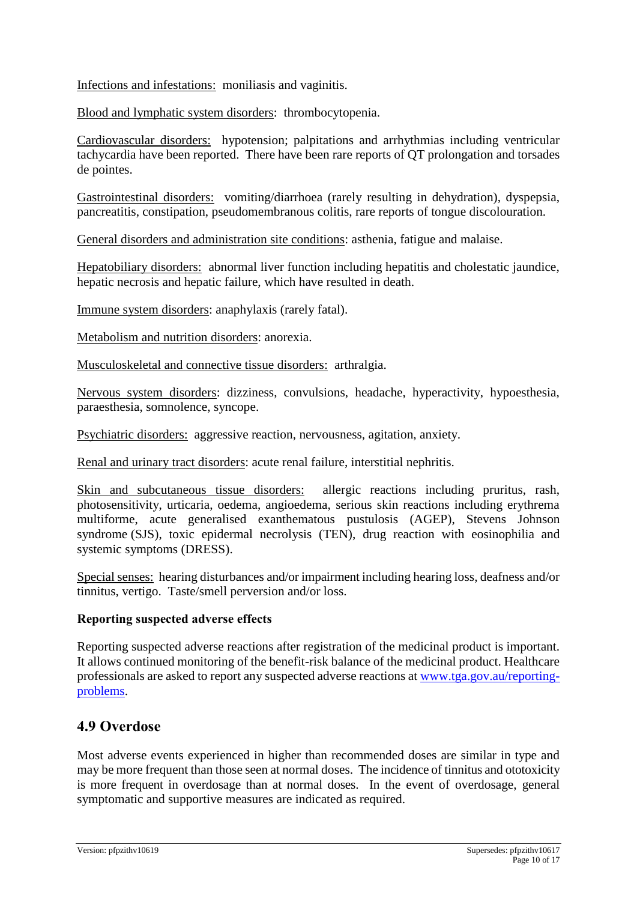Infections and infestations: moniliasis and vaginitis.

Blood and lymphatic system disorders: thrombocytopenia.

Cardiovascular disorders: hypotension; palpitations and arrhythmias including ventricular tachycardia have been reported. There have been rare reports of QT prolongation and torsades de pointes.

Gastrointestinal disorders: vomiting/diarrhoea (rarely resulting in dehydration), dyspepsia, pancreatitis, constipation, pseudomembranous colitis, rare reports of tongue discolouration.

General disorders and administration site conditions: asthenia, fatigue and malaise.

Hepatobiliary disorders: abnormal liver function including hepatitis and cholestatic jaundice, hepatic necrosis and hepatic failure, which have resulted in death.

Immune system disorders: anaphylaxis (rarely fatal).

Metabolism and nutrition disorders: anorexia.

Musculoskeletal and connective tissue disorders: arthralgia.

Nervous system disorders: dizziness, convulsions, headache, hyperactivity, hypoesthesia, paraesthesia, somnolence, syncope.

Psychiatric disorders: aggressive reaction, nervousness, agitation, anxiety.

Renal and urinary tract disorders: acute renal failure, interstitial nephritis.

Skin and subcutaneous tissue disorders: allergic reactions including pruritus, rash, photosensitivity, urticaria, oedema, angioedema, serious skin reactions including erythrema multiforme, acute generalised exanthematous pustulosis (AGEP), Stevens Johnson syndrome (SJS), toxic epidermal necrolysis (TEN), drug reaction with eosinophilia and systemic symptoms (DRESS).

Special senses: hearing disturbances and/or impairment including hearing loss, deafness and/or tinnitus, vertigo. Taste/smell perversion and/or loss.

#### **Reporting suspected adverse effects**

Reporting suspected adverse reactions after registration of the medicinal product is important. It allows continued monitoring of the benefit-risk balance of the medicinal product. Healthcare professionals are asked to report any suspected adverse reactions at [www.tga.gov.au/reporting](http://www.tga.gov.au/reporting-problems)[problems.](http://www.tga.gov.au/reporting-problems)

### **4.9 Overdose**

Most adverse events experienced in higher than recommended doses are similar in type and may be more frequent than those seen at normal doses. The incidence of tinnitus and ototoxicity is more frequent in overdosage than at normal doses. In the event of overdosage, general symptomatic and supportive measures are indicated as required.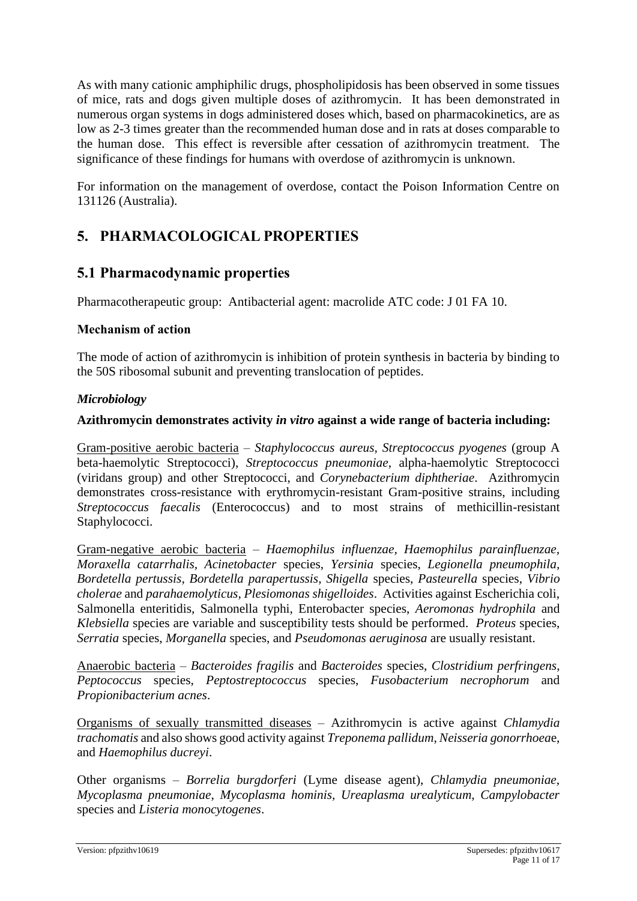As with many cationic amphiphilic drugs, phospholipidosis has been observed in some tissues of mice, rats and dogs given multiple doses of azithromycin. It has been demonstrated in numerous organ systems in dogs administered doses which, based on pharmacokinetics, are as low as 2-3 times greater than the recommended human dose and in rats at doses comparable to the human dose. This effect is reversible after cessation of azithromycin treatment. The significance of these findings for humans with overdose of azithromycin is unknown.

For information on the management of overdose, contact the Poison Information Centre on 131126 (Australia).

# **5. PHARMACOLOGICAL PROPERTIES**

### **5.1 Pharmacodynamic properties**

Pharmacotherapeutic group: Antibacterial agent: macrolide ATC code: J 01 FA 10.

#### **Mechanism of action**

The mode of action of azithromycin is inhibition of protein synthesis in bacteria by binding to the 50S ribosomal subunit and preventing translocation of peptides.

#### *Microbiology*

#### **Azithromycin demonstrates activity** *in vitro* **against a wide range of bacteria including:**

Gram-positive aerobic bacteria – *Staphylococcus aureus, Streptococcus pyogenes* (group A beta-haemolytic Streptococci), *Streptococcus pneumoniae*, alpha-haemolytic Streptococci (viridans group) and other Streptococci, and *Corynebacterium diphtheriae*. Azithromycin demonstrates cross-resistance with erythromycin-resistant Gram-positive strains, including *Streptococcus faecalis* (Enterococcus) and to most strains of methicillin-resistant Staphylococci.

Gram-negative aerobic bacteria – *Haemophilus influenzae, Haemophilus parainfluenzae, Moraxella catarrhalis, Acinetobacter* species, *Yersinia* species, *Legionella pneumophila, Bordetella pertussis, Bordetella parapertussis, Shigella* species, *Pasteurella* species, *Vibrio cholerae* and *parahaemolyticus, Plesiomonas shigelloides*. Activities against Escherichia coli, Salmonella enteritidis, Salmonella typhi, Enterobacter species, *Aeromonas hydrophila* and *Klebsiella* species are variable and susceptibility tests should be performed. *Proteus* species, *Serratia* species, *Morganella* species, and *Pseudomonas aeruginosa* are usually resistant.

Anaerobic bacteria – *Bacteroides fragilis* and *Bacteroides* species, *Clostridium perfringens*, *Peptococcus* species, *Peptostreptococcus* species, *Fusobacterium necrophorum* and *Propionibacterium acnes*.

Organisms of sexually transmitted diseases – Azithromycin is active against *Chlamydia trachomatis* and also shows good activity against *Treponema pallidum*, *Neisseria gonorrhoea*e, and *Haemophilus ducreyi*.

Other organisms – *Borrelia burgdorferi* (Lyme disease agent), *Chlamydia pneumoniae*, *Mycoplasma pneumoniae*, *Mycoplasma hominis, Ureaplasma urealyticum, Campylobacter*  species and *Listeria monocytogenes*.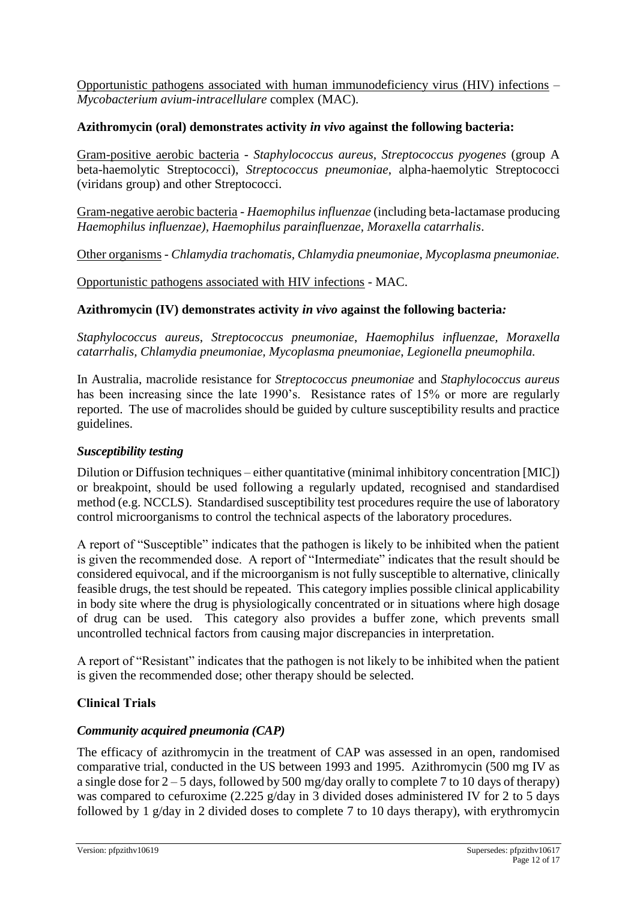Opportunistic pathogens associated with human immunodeficiency virus (HIV) infections – *Mycobacterium avium-intracellulare* complex (MAC).

#### **Azithromycin (oral) demonstrates activity** *in vivo* **against the following bacteria:**

Gram-positive aerobic bacteria - *Staphylococcus aureus, Streptococcus pyogenes* (group A beta-haemolytic Streptococci), *Streptococcus pneumoniae*, alpha-haemolytic Streptococci (viridans group) and other Streptococci.

Gram-negative aerobic bacteria - *Haemophilus influenzae* (including beta-lactamase producing *Haemophilus influenzae), Haemophilus parainfluenzae, Moraxella catarrhalis*.

Other organisms - *Chlamydia trachomatis, Chlamydia pneumoniae, Mycoplasma pneumoniae.*

Opportunistic pathogens associated with HIV infections - MAC.

#### **Azithromycin (IV) demonstrates activity** *in vivo* **against the following bacteria***:*

*Staphylococcus aureus*, *Streptococcus pneumoniae*, *Haemophilus influenzae, Moraxella catarrhalis, Chlamydia pneumoniae, Mycoplasma pneumoniae*, *Legionella pneumophila.*

In Australia, macrolide resistance for *Streptococcus pneumoniae* and *Staphylococcus aureus*  has been increasing since the late 1990's. Resistance rates of 15% or more are regularly reported. The use of macrolides should be guided by culture susceptibility results and practice guidelines.

#### *Susceptibility testing*

Dilution or Diffusion techniques – either quantitative (minimal inhibitory concentration [MIC]) or breakpoint, should be used following a regularly updated, recognised and standardised method (e.g. NCCLS). Standardised susceptibility test procedures require the use of laboratory control microorganisms to control the technical aspects of the laboratory procedures.

A report of "Susceptible" indicates that the pathogen is likely to be inhibited when the patient is given the recommended dose. A report of "Intermediate" indicates that the result should be considered equivocal, and if the microorganism is not fully susceptible to alternative, clinically feasible drugs, the test should be repeated. This category implies possible clinical applicability in body site where the drug is physiologically concentrated or in situations where high dosage of drug can be used. This category also provides a buffer zone, which prevents small uncontrolled technical factors from causing major discrepancies in interpretation.

A report of "Resistant" indicates that the pathogen is not likely to be inhibited when the patient is given the recommended dose; other therapy should be selected.

#### **Clinical Trials**

#### *Community acquired pneumonia (CAP)*

The efficacy of azithromycin in the treatment of CAP was assessed in an open, randomised comparative trial, conducted in the US between 1993 and 1995. Azithromycin (500 mg IV as a single dose for  $2 - 5$  days, followed by 500 mg/day orally to complete 7 to 10 days of therapy) was compared to cefuroxime (2.225 g/day in 3 divided doses administered IV for 2 to 5 days followed by 1 g/day in 2 divided doses to complete 7 to 10 days therapy), with erythromycin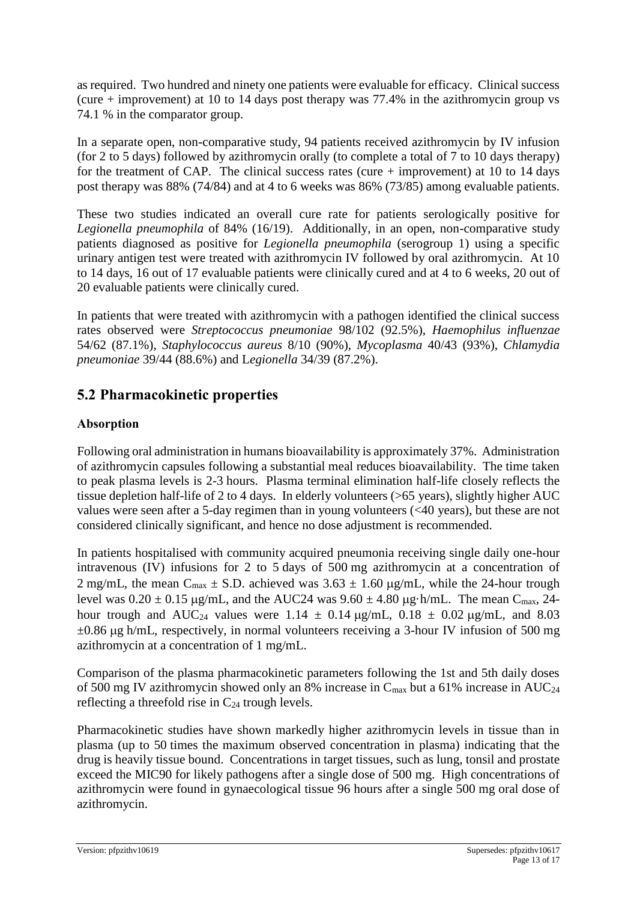as required. Two hundred and ninety one patients were evaluable for efficacy. Clinical success (cure  $+$  improvement) at 10 to 14 days post therapy was 77.4% in the azithromycin group vs 74.1 % in the comparator group.

In a separate open, non-comparative study, 94 patients received azithromycin by IV infusion (for 2 to 5 days) followed by azithromycin orally (to complete a total of 7 to 10 days therapy) for the treatment of CAP. The clinical success rates (cure  $+$  improvement) at 10 to 14 days post therapy was 88% (74/84) and at 4 to 6 weeks was 86% (73/85) among evaluable patients.

These two studies indicated an overall cure rate for patients serologically positive for *Legionella pneumophila* of 84% (16/19). Additionally, in an open, non-comparative study patients diagnosed as positive for *Legionella pneumophila* (serogroup 1) using a specific urinary antigen test were treated with azithromycin IV followed by oral azithromycin. At 10 to 14 days, 16 out of 17 evaluable patients were clinically cured and at 4 to 6 weeks, 20 out of 20 evaluable patients were clinically cured.

In patients that were treated with azithromycin with a pathogen identified the clinical success rates observed were *Streptococcus pneumoniae* 98/102 (92.5%), *Haemophilus influenzae*  54/62 (87.1%), *Staphylococcus aureus* 8/10 (90%), *Mycoplasma* 40/43 (93%), *Chlamydia pneumoniae* 39/44 (88.6%) and L*egionella* 34/39 (87.2%).

### **5.2 Pharmacokinetic properties**

#### **Absorption**

Following oral administration in humans bioavailability is approximately 37%. Administration of azithromycin capsules following a substantial meal reduces bioavailability. The time taken to peak plasma levels is 2-3 hours. Plasma terminal elimination half-life closely reflects the tissue depletion half-life of 2 to 4 days. In elderly volunteers (>65 years), slightly higher AUC values were seen after a 5-day regimen than in young volunteers (<40 years), but these are not considered clinically significant, and hence no dose adjustment is recommended.

In patients hospitalised with community acquired pneumonia receiving single daily one-hour intravenous (IV) infusions for 2 to 5 days of 500 mg azithromycin at a concentration of 2 mg/mL, the mean C<sub>max</sub>  $\pm$  S.D. achieved was 3.63  $\pm$  1.60 µg/mL, while the 24-hour trough level was  $0.20 \pm 0.15$  µg/mL, and the AUC24 was  $9.60 \pm 4.80$  µg·h/mL. The mean C<sub>max</sub>, 24hour trough and AUC<sub>24</sub> values were 1.14  $\pm$  0.14  $\mu$ g/mL, 0.18  $\pm$  0.02  $\mu$ g/mL, and 8.03  $\pm 0.86$  ug h/mL, respectively, in normal volunteers receiving a 3-hour IV infusion of 500 mg azithromycin at a concentration of 1 mg/mL.

Comparison of the plasma pharmacokinetic parameters following the 1st and 5th daily doses of 500 mg IV azithromycin showed only an 8% increase in  $C_{\text{max}}$  but a 61% increase in AUC<sub>24</sub> reflecting a threefold rise in  $C_{24}$  trough levels.

Pharmacokinetic studies have shown markedly higher azithromycin levels in tissue than in plasma (up to 50 times the maximum observed concentration in plasma) indicating that the drug is heavily tissue bound. Concentrations in target tissues, such as lung, tonsil and prostate exceed the MIC90 for likely pathogens after a single dose of 500 mg. High concentrations of azithromycin were found in gynaecological tissue 96 hours after a single 500 mg oral dose of azithromycin.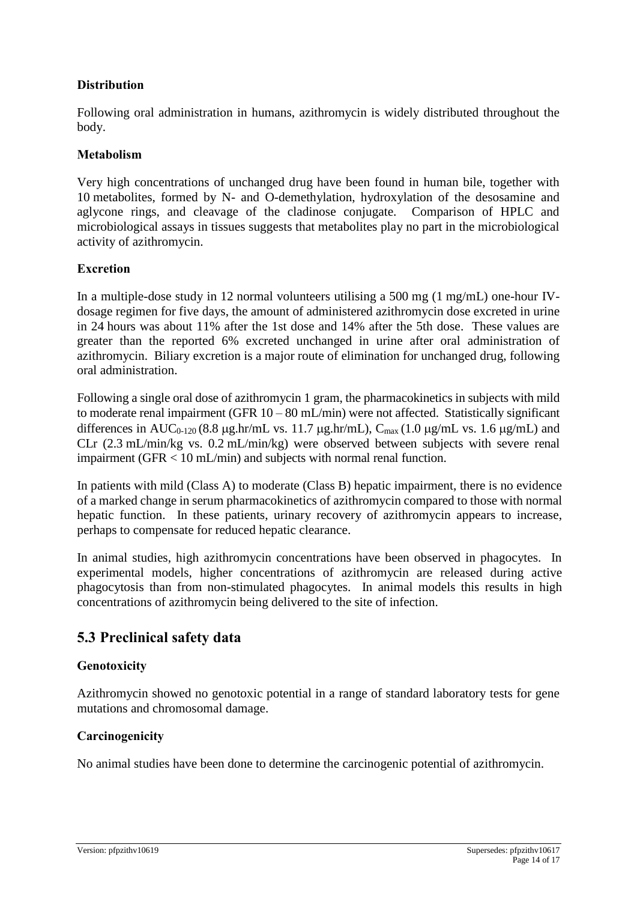#### **Distribution**

Following oral administration in humans, azithromycin is widely distributed throughout the body.

#### **Metabolism**

Very high concentrations of unchanged drug have been found in human bile, together with 10 metabolites, formed by N- and O-demethylation, hydroxylation of the desosamine and aglycone rings, and cleavage of the cladinose conjugate. Comparison of HPLC and microbiological assays in tissues suggests that metabolites play no part in the microbiological activity of azithromycin.

#### **Excretion**

In a multiple-dose study in 12 normal volunteers utilising a 500 mg (1 mg/mL) one-hour IVdosage regimen for five days, the amount of administered azithromycin dose excreted in urine in 24 hours was about 11% after the 1st dose and 14% after the 5th dose. These values are greater than the reported 6% excreted unchanged in urine after oral administration of azithromycin. Biliary excretion is a major route of elimination for unchanged drug, following oral administration.

Following a single oral dose of azithromycin 1 gram, the pharmacokinetics in subjects with mild to moderate renal impairment (GFR  $10 - 80$  mL/min) were not affected. Statistically significant differences in AUC<sub>0-120</sub> (8.8 ug.hr/mL vs. 11.7 ug.hr/mL),  $C_{\text{max}}$  (1.0 ug/mL vs. 1.6 ug/mL) and CLr (2.3 mL/min/kg vs. 0.2 mL/min/kg) were observed between subjects with severe renal impairment (GFR < 10 mL/min) and subjects with normal renal function.

In patients with mild (Class A) to moderate (Class B) hepatic impairment, there is no evidence of a marked change in serum pharmacokinetics of azithromycin compared to those with normal hepatic function. In these patients, urinary recovery of azithromycin appears to increase, perhaps to compensate for reduced hepatic clearance.

In animal studies, high azithromycin concentrations have been observed in phagocytes. In experimental models, higher concentrations of azithromycin are released during active phagocytosis than from non-stimulated phagocytes. In animal models this results in high concentrations of azithromycin being delivered to the site of infection.

### **5.3 Preclinical safety data**

#### **Genotoxicity**

Azithromycin showed no genotoxic potential in a range of standard laboratory tests for gene mutations and chromosomal damage.

#### **Carcinogenicity**

No animal studies have been done to determine the carcinogenic potential of azithromycin.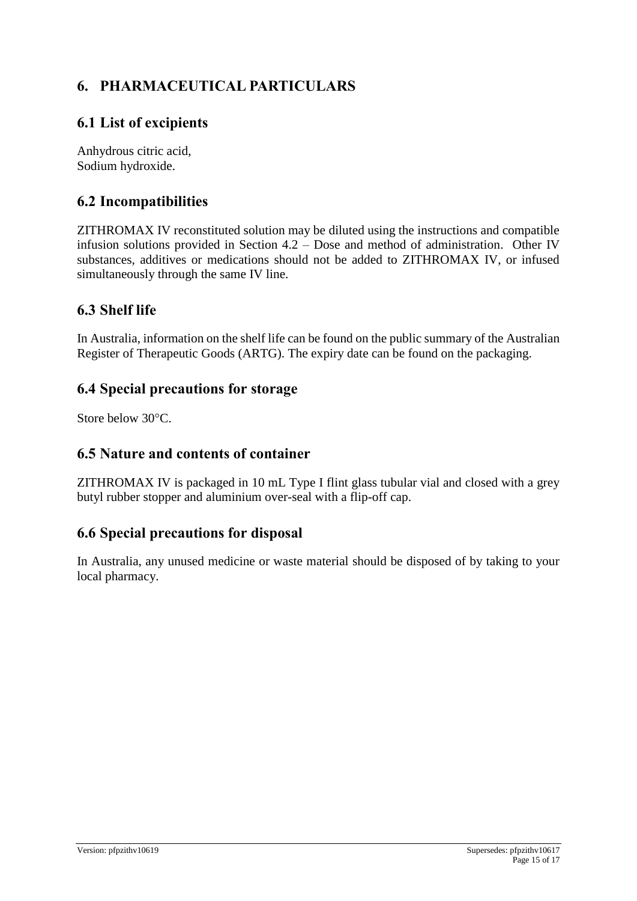# **6. PHARMACEUTICAL PARTICULARS**

### **6.1 List of excipients**

Anhydrous citric acid, Sodium hydroxide.

### **6.2 Incompatibilities**

ZITHROMAX IV reconstituted solution may be diluted using the instructions and compatible infusion solutions provided in Section 4.2 – Dose and method of administration. Other IV substances, additives or medications should not be added to ZITHROMAX IV, or infused simultaneously through the same IV line.

### **6.3 Shelf life**

In Australia, information on the shelf life can be found on the public summary of the Australian Register of Therapeutic Goods (ARTG). The expiry date can be found on the packaging.

### **6.4 Special precautions for storage**

Store below 30°C.

### **6.5 Nature and contents of container**

ZITHROMAX IV is packaged in 10 mL Type I flint glass tubular vial and closed with a grey butyl rubber stopper and aluminium over-seal with a flip-off cap.

### **6.6 Special precautions for disposal**

In Australia, any unused medicine or waste material should be disposed of by taking to your local pharmacy.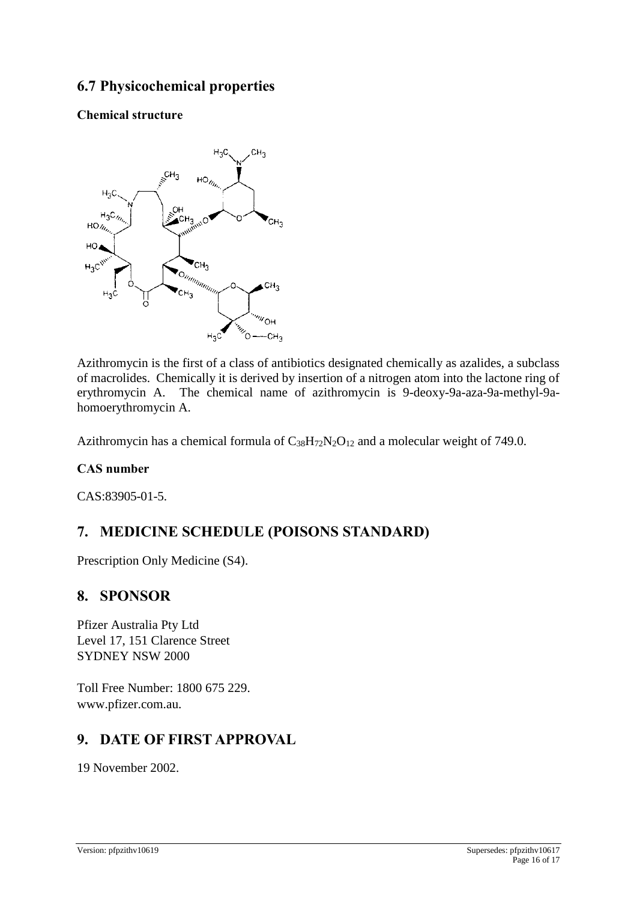### **6.7 Physicochemical properties**

#### **Chemical structure**



Azithromycin is the first of a class of antibiotics designated chemically as azalides, a subclass of macrolides. Chemically it is derived by insertion of a nitrogen atom into the lactone ring of erythromycin A. The chemical name of azithromycin is 9-deoxy-9a-aza-9a-methyl-9ahomoerythromycin A.

Azithromycin has a chemical formula of  $C_{38}H_{72}N_2O_{12}$  and a molecular weight of 749.0.

#### **CAS number**

CAS:83905-01-5.

### **7. MEDICINE SCHEDULE (POISONS STANDARD)**

Prescription Only Medicine (S4).

### **8. SPONSOR**

Pfizer Australia Pty Ltd Level 17, 151 Clarence Street SYDNEY NSW 2000

Toll Free Number: 1800 675 229. www.pfizer.com.au.

### **9. DATE OF FIRST APPROVAL**

19 November 2002.